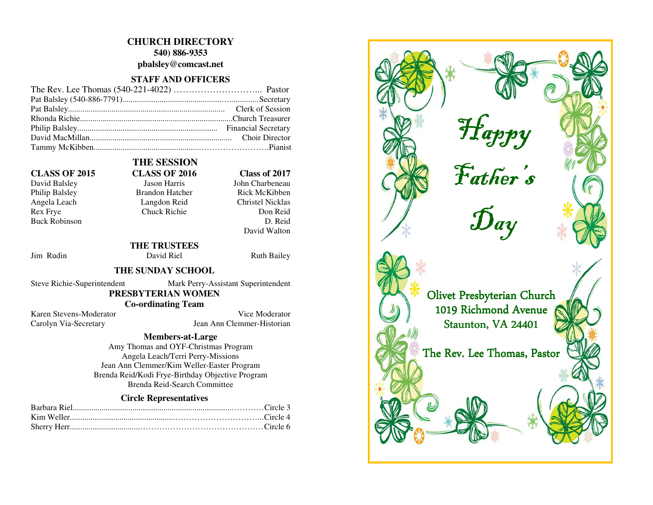## **CHURCH DIRECTORY**

**540) 886-9353** 

**pbalsley@comcast.net** 

## **STAFF AND OFFICERS**

Philip Balsley Brandon Hatcher Angela Leach Langdon Reid Rex Frye Chuck Richie Buck Robinson

# **THE SESSION CLASS OF 2015 CLASS OF 2016 Class of 2017**

David Balsley **Jason Harris** John Charbeneau Rick McKibben **Christel Nicklas** Don Reid D. Reid David Walton

Jim Rudin David Riel Ruth Bailey

 **THE TRUSTEES** 

## **THE SUNDAY SCHOOL**

Steve Richie-Superintendent Mark Perry-Assistant Superintendent

# **PRESBYTERIAN WOMEN**

 **Co-ordinating Team** 

Karen Stevens-Moderator Vice Moderator Carolyn Via-Secretary Jean Ann Clemmer-Historian

### **Members-at-Large**

 Amy Thomas and OYF-Christmas Program Angela Leach/Terri Perry-Missions Jean Ann Clemmer/Kim Weller-Easter Program Brenda Reid/Kodi Frye-Birthday Objective Program Brenda Reid-Search Committee

## **Circle Representatives**